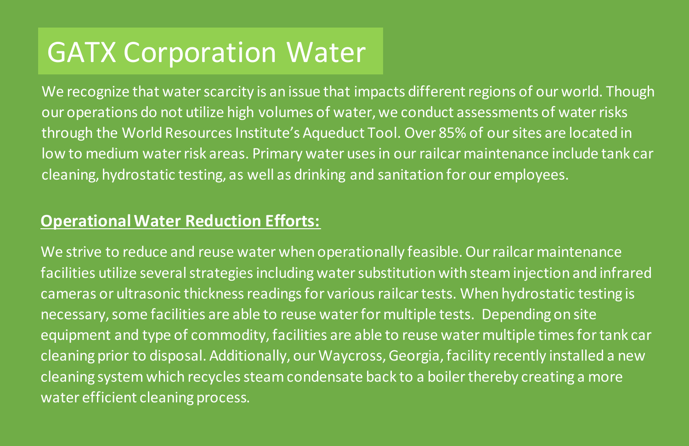## GATX Corporation Water

We recognize that water scarcity is an issue that impacts different regions of our world. Though our operations do not utilize high volumes of water, we conduct assessments of water risks through the World Resources Institute's Aqueduct Tool. Over 85% of our sites are located in low to medium water risk areas. Primary water uses in our railcarmaintenance include tank car cleaning, hydrostatic testing, as well as drinking and sanitation for our employees.

## **Operational Water Reduction Efforts:**

We strive to reduce and reuse water when operationally feasible. Our railcar maintenance facilities utilize several strategies including water substitution with steam injection and infrared cameras or ultrasonic thickness readings for various railcar tests. When hydrostatic testing is necessary, some facilities are able to reuse water for multiple tests. Depending on site equipment and type of commodity, facilities are able to reuse water multiple times for tank car cleaning prior to disposal. Additionally, our Waycross, Georgia,facility recently installed a new cleaning system which recycles steam condensate back to a boiler thereby creating a more water efficient cleaning process.